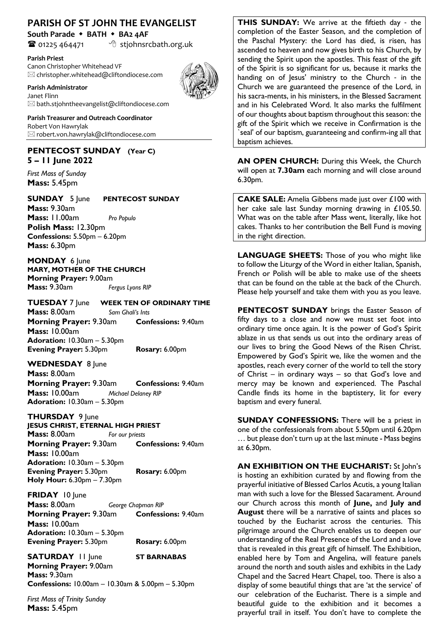## **PARISH OF ST JOHN THE EVANGELIST**

**South Parade** w **BATH** w **BA2 4AF**

 $\bullet$  01225 464471  $\bullet$  stjohnsrcbath.org.uk

#### **Parish Priest**

Canon Christopher Whitehead VF  $\boxtimes$  christopher.whitehead@cliftondiocese.com

#### **Parish Administrator**



Janet Flinn  $\boxtimes$  bath.stjohntheevangelist@cliftondiocese.com

**Parish Treasurer and Outreach Coordinator** Robert Von Hawrylak  $\boxtimes$  robert.von.hawrylak@cliftondiocese.com

### **PENTECOST SUNDAY (Year C) 5 – 11 June 2022**

*First Mass of Sunday* **Mass:** 5.45pm

**SUNDAY** 5 June **PENTECOST SUNDAY Mass:** 9.30am **Mass:** 11.00am *Pro Populo* **Polish Mass:** 12.30pm **Confessions:** 5.50pm – 6.20pm **Mass:** 6.30pm

**MONDAY** 6 June **MARY, MOTHER OF THE CHURCH Morning Prayer:** 9.00am **Mass:** 9.30am *Fergus Lyons RIP*

**TUESDAY** 7 June **WEEK TEN OF ORDINARY TIME Mass:** 8.00am *Sam Ghali's Ints* **Morning Prayer:** 9.30am **Confessions:** 9.40am **Mass:** 10.00am **Adoration:** 10.30am – 5.30pm **Evening Prayer:** 5.30pm **Rosary:** 6.00pm

**WEDNESDAY** 8 June **Mass:** 8.00am **Morning Prayer:** 9.30am **Confessions:** 9.40am

**Mass:** 10.00am *Michael Delaney RIP* **Adoration:** 10.30am – 5.30pm

## **THURSDAY** 9 June

**JESUS CHRIST, ETERNAL HIGH PRIEST Mass:** 8.00am *For our priests* **Morning Prayer:** 9.30am **Confessions:** 9.40am **Mass:** 10.00am **Adoration:** 10.30am – 5.30pm **Evening Prayer:** 5.30pm **Rosary:** 6.00pm **Holy Hour:** 6.30pm – 7.30pm

**FRIDAY** 10 June **Mass:** 8.00am *George Chapman RIP* **Morning Prayer:** 9.30am **Confessions:** 9.40am **Mass:** 10.00am **Adoration:** 10.30am – 5.30pm **Evening Prayer:** 5.30pm **Rosary:** 6.00pm

**SATURDAY** 11 June **ST BARNABAS Morning Prayer:** 9.00am **Mass:** 9.30am **Confessions:** 10.00am – 10.30am & 5.00pm – 5.30pm

*First Mass of Trinity Sunday*  **Mass:** 5.45pm

**THIS SUNDAY:** We arrive at the fiftieth day - the completion of the Easter Season, and the completion of the Paschal Mystery: the Lord has died, is risen, has ascended to heaven and now gives birth to his Church, by sending the Spirit upon the apostles. This feast of the gift of the Spirit is so significant for us, because it marks the handing on of Jesus' ministry to the Church - in the Church we are guaranteed the presence of the Lord, in his sacra-ments, in his ministers, in the Blessed Sacrament and in his Celebrated Word. It also marks the fulfilment of our thoughts about baptism throughout this season: the gift of the Spirit which we receive in Confirmation is the seal' of our baptism, guaranteeing and confirm-ing all that baptism achieves.

**AN OPEN CHURCH:** During this Week, the Church will open at **7.30am** each morning and will close around 6.30pm.

**CAKE SALE:** Amelia Gibbens made just over £100 with her cake sale last Sunday morning drawing in £105.50. What was on the table after Mass went, literally, like hot cakes. Thanks to her contribution the Bell Fund is moving in the right direction.

**LANGUAGE SHEETS:** Those of you who might like to follow the Liturgy of the Word in either Italian, Spanish, French or Polish will be able to make use of the sheets that can be found on the table at the back of the Church. Please help yourself and take them with you as you leave.

**PENTECOST SUNDAY** brings the Easter Season of fifty days to a close and now we must set foot into ordinary time once again. It is the power of God's Spirit ablaze in us that sends us out into the ordinary areas of our lives to bring the Good News of the Risen Christ. Empowered by God's Spirit we, like the women and the apostles, reach every corner of the world to tell the story of Christ – in ordinary ways – so that God's love and mercy may be known and experienced. The Paschal Candle finds its home in the baptistery, lit for every baptism and every funeral.

**SUNDAY CONFESSIONS:** There will be a priest in one of the confessionals from about 5.50pm until 6.20pm … but please don't turn up at the last minute - Mass begins at 6.30pm.

**AN EXHIBITION ON THE EUCHARIST:** St John's is hosting an exhibition curated by and flowing from the prayerful initiative of Blessed Carlos Acutis, a young Italian man with such a love for the Blessed Sacarament. Around our Church across this month of **June,** and **July and August** there will be a narrative of saints and places so touched by the Eucharist across the centuries. This pilgrimage around the Church enables us to deepen our understanding of the Real Presence of the Lord and a love that is revealed in this great gift of himself. The Exhibition, enabled here by Tom and Angelina, will feature panels around the north and south aisles and exhibits in the Lady Chapel and the Sacred Heart Chapel, too. There is also a display of some beautiful things that are 'at the service' of our celebration of the Eucharist. There is a simple and beautiful guide to the exhibition and it becomes a prayerful trail in itself. You don't have to complete the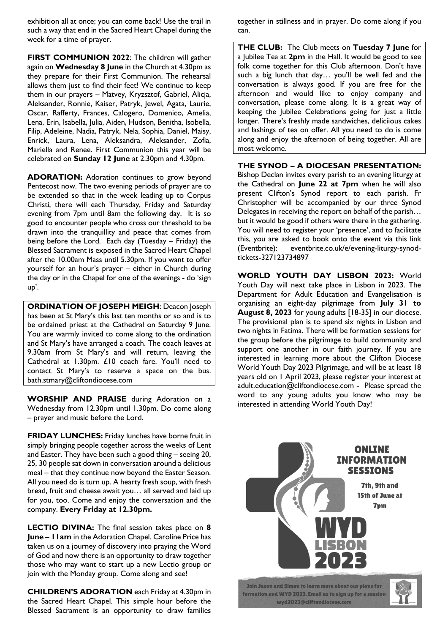exhibition all at once; you can come back! Use the trail in such a way that end in the Sacred Heart Chapel during the week for a time of prayer.

**FIRST COMMUNION 2022**: The children will gather again on **Wednesday 8 June** in the Church at 4.30pm as they prepare for their First Communion. The rehearsal allows them just to find their feet! We continue to keep them in our prayers – Matvey, Kryzsztof, Gabriel, Alicja, Aleksander, Ronnie, Kaiser, Patryk, Jewel, Agata, Laurie, Oscar, Rafferty, Frances, Calogero, Domenico, Amelia, Lena, Erin, Isabella, Julia, Aiden, Hudson, Benitha, Isobella, Filip, Adeleine, Nadia, Patryk, Nela, Sophia, Daniel, Maisy, Enrick, Laura, Lena, Aleksandra, Aleksander, Zofia, Mariella and Renee. First Communion this year will be celebrated on **Sunday 12 June** at 2.30pm and 4.30pm.

**ADORATION:** Adoration continues to grow beyond Pentecost now. The two evening periods of prayer are to be extended so that in the week leading up to Corpus Christi, there will each Thursday, Friday and Saturday evening from 7pm until 8am the following day. It is so good to encounter people who cross our threshold to be drawn into the tranquillity and peace that comes from being before the Lord. Each day (Tuesday – Friday) the Blessed Sacrament is exposed in the Sacred Heart Chapel after the 10.00am Mass until 5.30pm. If you want to offer yourself for an hour's prayer – either in Church during the day or in the Chapel for one of the evenings - do 'sign up'.

**ORDINATION OF JOSEPH MEIGH**: Deacon Joseph has been at St Mary's this last ten months or so and is to be ordained priest at the Cathedral on Saturday 9 June. You are warmly invited to come along to the ordination and St Mary's have arranged a coach. The coach leaves at 9.30am from St Mary's and will return, leaving the Cathedral at 1.30pm. £10 coach fare. You'll need to contact St Mary's to reserve a space on the bus. bath.stmary@cliftondiocese.com

**WORSHIP AND PRAISE** during Adoration on a Wednesday from 12.30pm until 1.30pm. Do come along – prayer and music before the Lord.

**FRIDAY LUNCHES:** Friday lunches have borne fruit in simply bringing people together across the weeks of Lent and Easter. They have been such a good thing – seeing 20, 25, 30 people sat down in conversation around a delicious meal – that they continue now beyond the Easter Season. All you need do is turn up. A hearty fresh soup, with fresh bread, fruit and cheese await you… all served and laid up for you, too. Come and enjoy the conversation and the company. **Every Friday at 12.30pm.**

**LECTIO DIVINA:** The final session takes place on **8 June – 11am** in the Adoration Chapel. Caroline Price has taken us on a journey of discovery into praying the Word of God and now there is an opportunity to draw together those who may want to start up a new Lectio group or join with the Monday group. Come along and see!

**CHILDREN'S ADORATION** each Friday at 4.30pm in the Sacred Heart Chapel. This simple hour before the Blessed Sacrament is an opportunity to draw families

together in stillness and in prayer. Do come along if you can.

**THE CLUB:** The Club meets on **Tuesday 7 June** for a Jubilee Tea at **2pm** in the Hall. It would be good to see folk come together for this Club afternoon. Don't have such a big lunch that day… you'll be well fed and the conversation is always good. If you are free for the afternoon and would like to enjoy company and conversation, please come along. It is a great way of keeping the Jubilee Celebrations going for just a little longer. There's freshly made sandwiches, deliciious cakes and lashings of tea on offer. All you need to do is come along and enjoy the afternoon of being together. All are most welcome.

#### **THE SYNOD – A DIOCESAN PRESENTATION:**

Bishop Declan invites every parish to an evening liturgy at the Cathedral on **June 22 at 7pm** when he will also present Clifton's Synod report to each parish. Fr Christopher will be accompanied by our three Synod Delegates in receiving the report on behalf of the parish… but it would be good if others were there in the gathering. You will need to register your 'presence', and to facilitate this, you are asked to book onto the event via this link (Eventbrite): eventbrite.co.uk/e/evening-liturgy-synodtickets-327123734897

**WORLD YOUTH DAY LISBON 2023:** World Youth Day will next take place in Lisbon in 2023. The Department for Adult Education and Evangelisation is organising an eight-day pilgrimage from **July 31 to August 8, 2023** for young adults [18-35] in our diocese. The provisional plan is to spend six nights in Lisbon and two nights in Fatima. There will be formation sessions for the group before the pilgrimage to build community and support one another in our faith journey. If you are interested in learning more about the Clifton Diocese World Youth Day 2023 Pilgrimage, and will be at least 18 years old on 1 April 2023, please register your interest at adult.education@cliftondiocese.com - Please spread the word to any young adults you know who may be interested in attending World Youth Day!

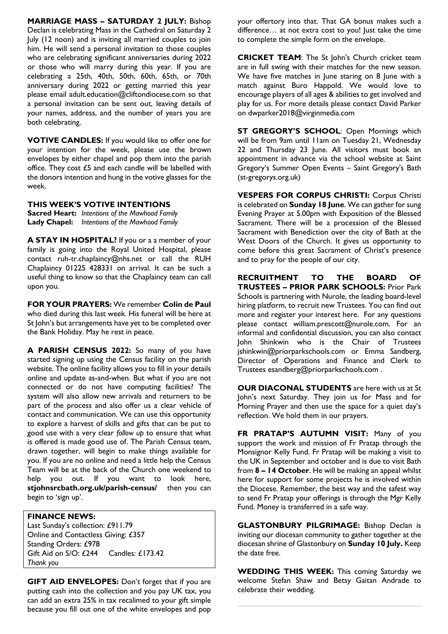**MARRIAGE MASS – SATURDAY 2 JULY:** Bishop Declan is celebrating Mass in the Cathedral on Saturday 2 July (12 noon) and is inviting all married couples to join him. He will send a personal invitation to those couples who are celebrating significant anniversaries during 2022 or those who will marry during this year. If you are celebrating a 25th, 40th, 50th, 60th, 65th, or 70th anniversary during 2022 or getting married this year please email adult.education@cliftondiocese.com so that a personal invitation can be sent out, leaving details of your names, address, and the number of years you are both celebrating.

**VOTIVE CANDLES:** If you would like to offer one for your intention for the week, please use the brown envelopes by either chapel and pop them into the parish office. They cost £5 and each candle will be labelled with the donors intention and hung in the votive glasses for the week.

## **THIS WEEK'S VOTIVE INTENTIONS**

**Sacred Heart:** *Intentions of the Mawhood Family* **Lady Chapel:** *Intentions of the Mawhood Family*

**A STAY IN HOSPITAL?** If you or a a member of your family is going into the Royal United Hospital, please contact ruh-tr.chaplaincy@nhs.net or call the RUH Chaplaincy 01225 428331 on arrival. It can be such a useful thing to know so that the Chaplaincy team can call upon you.

**FOR YOUR PRAYERS:** We remember **Colin de Paul**  who died during this last week. His funeral will be here at St John's but arrangements have yet to be completed over the Bank Holiday. May he rest in peace.

**A PARISH CENSUS 2022:** So many of you have started signing up using the Census facility on the parish website. The online facility allows you to fill in your details online and update as-and-when. But what if you are not connected or do not have computing facilities? The system will also allow new arrivals and returners to be part of the process and also offer us a clear vehicle of contact and communication. We can use this opportunity to explore a harvest of skills and gifts that can be put to good use with a very clear *follow up* to ensure that what is offered is made good use of. The Parish Census team, drawn together, will begin to make things available for you. If you are no online and need a little help the Census Team will be at the back of the Church one weekend to help you out. If you want to look here, **stjohnsrcbath.org.uk/parish-census/** then you can begin to 'sign up'.

### **FINANCE NEWS:**

Last Sunday's collection: £911.79 Online and Contactless Giving: £357 Standing Orders: £978 Gift Aid on S/O: £244 Candles: £173.42 *Thank you*

**GIFT AID ENVELOPES:** Don't forget that if you are putting cash into the collection and you pay UK tax, you can add an extra 25% in tax recalimed to your gift simple because you fill out one of the white envelopes and pop

your offertory into that. That GA bonus makes such a difference... at not extra cost to you! Just take the time to complete the simple form on the envelope.

**CRICKET TEAM**: The St John's Church cricket team are in full swing with their matches for the new season. We have five matches in June staring on 8 June with a match against Buro Happold. We would love to encourage players of all ages & abilities to get involved and play for us. For more details please contact David Parker on dwparker2018@virginmedia.com

**ST GREGORY'S SCHOOL**: Open Mornings which will be from 9am until 11am on Tuesday 21, Wednesday 22 and Thursday 23 June. All visitors must book an appointment in advance via the school website at Saint Gregory's Summer Open Events – Saint Gregory's Bath (st-gregorys.org.uk)

**VESPERS FOR CORPUS CHRISTI:** Corpus Christi is celebrated on **Sunday 18 June**. We can gather for sung Evening Prayer at 5.00pm with Exposition of the Blessed Sacrament. There will be a procession of the Blessed Sacrament with Benediction over the city of Bath at the West Doors of the Church. It gives us opportunity to come before this great Sacrament of Christ's presence and to pray for the people of our city.

**RECRUITMENT TO THE BOARD OF TRUSTEES – PRIOR PARK SCHOOLS:** Prior Park Schools is partnering with Nurole, the leading board-level hiring platform, to recruit new Trustees. You can find out more and register your interest here. For any questions please contact william.prescott@nurole.com. For an informal and confidential discussion, you can also contact John Shinkwin who is the Chair of Trustees jshinkwin@priorparkschools.com or Emma Sandberg, Director of Operations and Finance and Clerk to Trustees esandberg@priorparkschools.com .

**OUR DIACONAL STUDENTS** are here with us at St John's next Saturday. They join us for Mass and for Morning Prayer and then use the space for a quiet day's reflection. We hold them in our prayers.

**FR PRATAP'S AUTUMN VISIT:** Many of you support the work and mission of Fr Pratap through the Monsignor Kelly Fund. Fr Pratap will be making a visit to the UK in September and october and is due to visit Bath from **8 – 14 October**. He will be making an appeal whilst here for support for some projects he is involved within the Diocese. Remember, the best way and the safest way to send Fr Pratap your offerings is through the Mgr Kelly Fund. Money is transferred in a safe way.

**GLASTONBURY PILGRIMAGE:** Bishop Declan is inviting our diocesan community to gather together at the diocesan shrine of Glastonbury on **Sunday 10 July.** Keep the date free.

**WEDDING THIS WEEK:** This coming Saturday we welcome Stefan Shaw and Betsy Gaitan Andrade to celebrate their wedding.